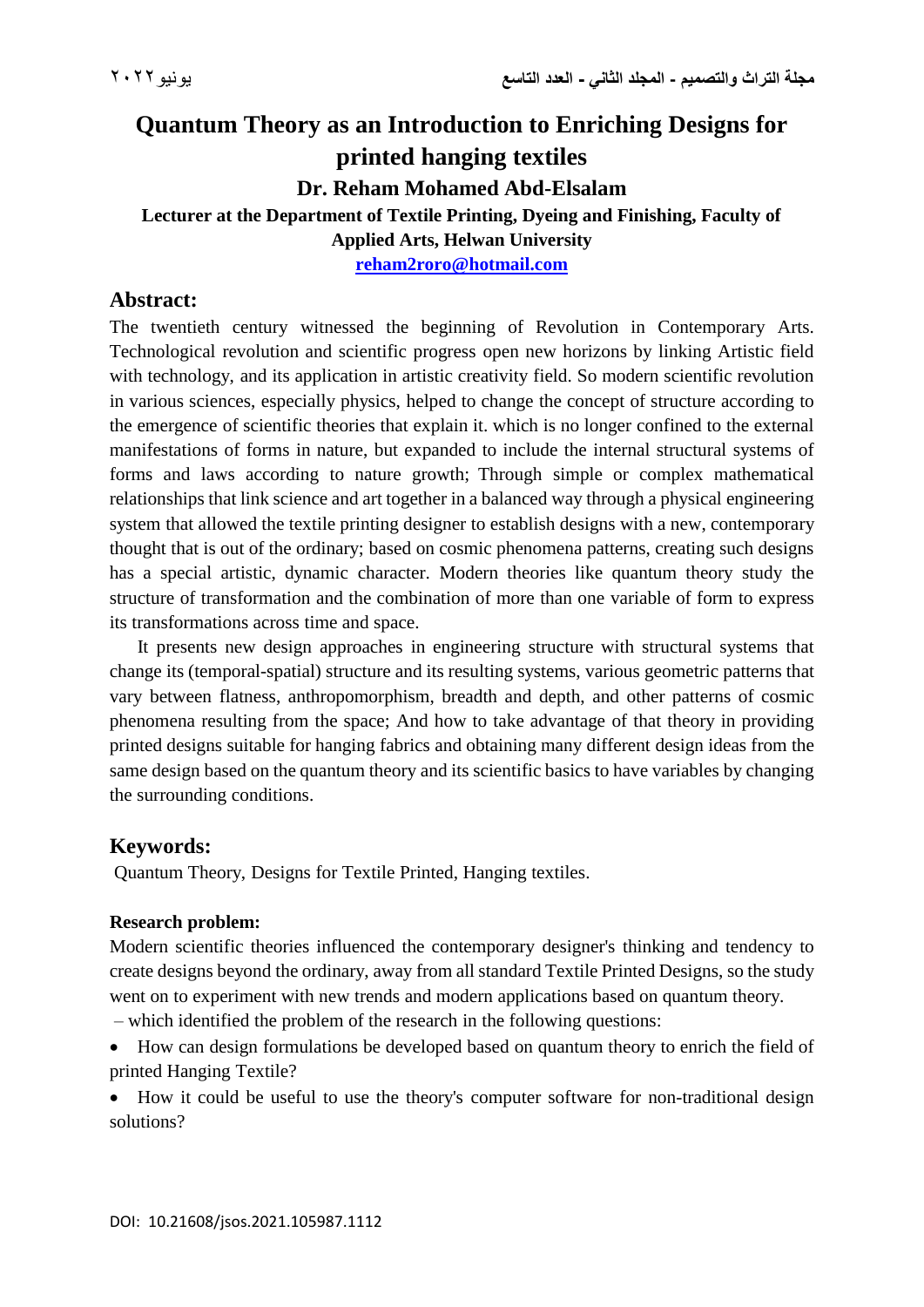# **Quantum Theory as an Introduction to Enriching Designs for printed hanging textiles Dr. Reham Mohamed Abd-Elsalam**

# **Lecturer at the Department of Textile Printing, Dyeing and Finishing, Faculty of**

**Applied Arts, Helwan University**

**[reham2roro@hotmail.com](mailto:reham2roro@hotmail.com)**

# **Abstract:**

The twentieth century witnessed the beginning of Revolution in Contemporary Arts. Technological revolution and scientific progress open new horizons by linking Artistic field with technology, and its application in artistic creativity field. So modern scientific revolution in various sciences, especially physics, helped to change the concept of structure according to the emergence of scientific theories that explain it. which is no longer confined to the external manifestations of forms in nature, but expanded to include the internal structural systems of forms and laws according to nature growth; Through simple or complex mathematical relationships that link science and art together in a balanced way through a physical engineering system that allowed the textile printing designer to establish designs with a new, contemporary thought that is out of the ordinary; based on cosmic phenomena patterns, creating such designs has a special artistic, dynamic character. Modern theories like quantum theory study the structure of transformation and the combination of more than one variable of form to express its transformations across time and space.

It presents new design approaches in engineering structure with structural systems that change its (temporal-spatial) structure and its resulting systems, various geometric patterns that vary between flatness, anthropomorphism, breadth and depth, and other patterns of cosmic phenomena resulting from the space; And how to take advantage of that theory in providing printed designs suitable for hanging fabrics and obtaining many different design ideas from the same design based on the quantum theory and its scientific basics to have variables by changing the surrounding conditions.

# **Keywords:**

Quantum Theory, Designs for Textile Printed, Hanging textiles.

# **Research problem:**

Modern scientific theories influenced the contemporary designer's thinking and tendency to create designs beyond the ordinary, away from all standard Textile Printed Designs, so the study went on to experiment with new trends and modern applications based on quantum theory.

– which identified the problem of the research in the following questions:

• How can design formulations be developed based on quantum theory to enrich the field of printed Hanging Textile?

• How it could be useful to use the theory's computer software for non-traditional design solutions?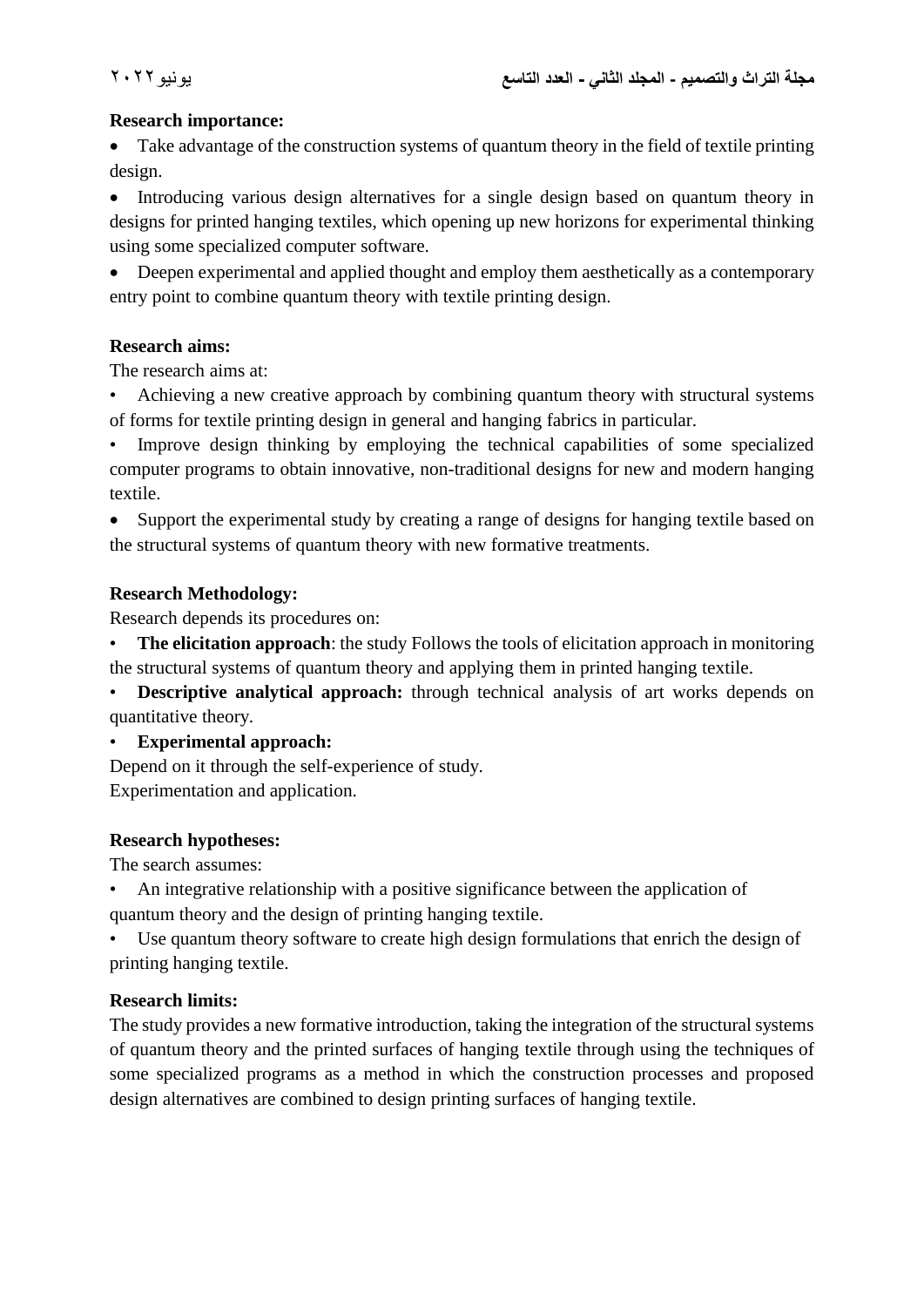#### **Research importance:**

 Take advantage of the construction systems of quantum theory in the field of textile printing design.

• Introducing various design alternatives for a single design based on quantum theory in designs for printed hanging textiles, which opening up new horizons for experimental thinking using some specialized computer software.

• Deepen experimental and applied thought and employ them aesthetically as a contemporary entry point to combine quantum theory with textile printing design.

#### **Research aims:**

The research aims at:

• Achieving a new creative approach by combining quantum theory with structural systems of forms for textile printing design in general and hanging fabrics in particular.

• Improve design thinking by employing the technical capabilities of some specialized computer programs to obtain innovative, non-traditional designs for new and modern hanging textile.

 Support the experimental study by creating a range of designs for hanging textile based on the structural systems of quantum theory with new formative treatments.

# **Research Methodology:**

Research depends its procedures on:

**The elicitation approach:** the study Follows the tools of elicitation approach in monitoring the structural systems of quantum theory and applying them in printed hanging textile.

**Descriptive analytical approach:** through technical analysis of art works depends on quantitative theory.

# • **Experimental approach:**

Depend on it through the self-experience of study. Experimentation and application.

# **Research hypotheses:**

The search assumes:

- An integrative relationship with a positive significance between the application of quantum theory and the design of printing hanging textile.
- Use quantum theory software to create high design formulations that enrich the design of printing hanging textile.

# **Research limits:**

The study provides a new formative introduction, taking the integration of the structural systems of quantum theory and the printed surfaces of hanging textile through using the techniques of some specialized programs as a method in which the construction processes and proposed design alternatives are combined to design printing surfaces of hanging textile.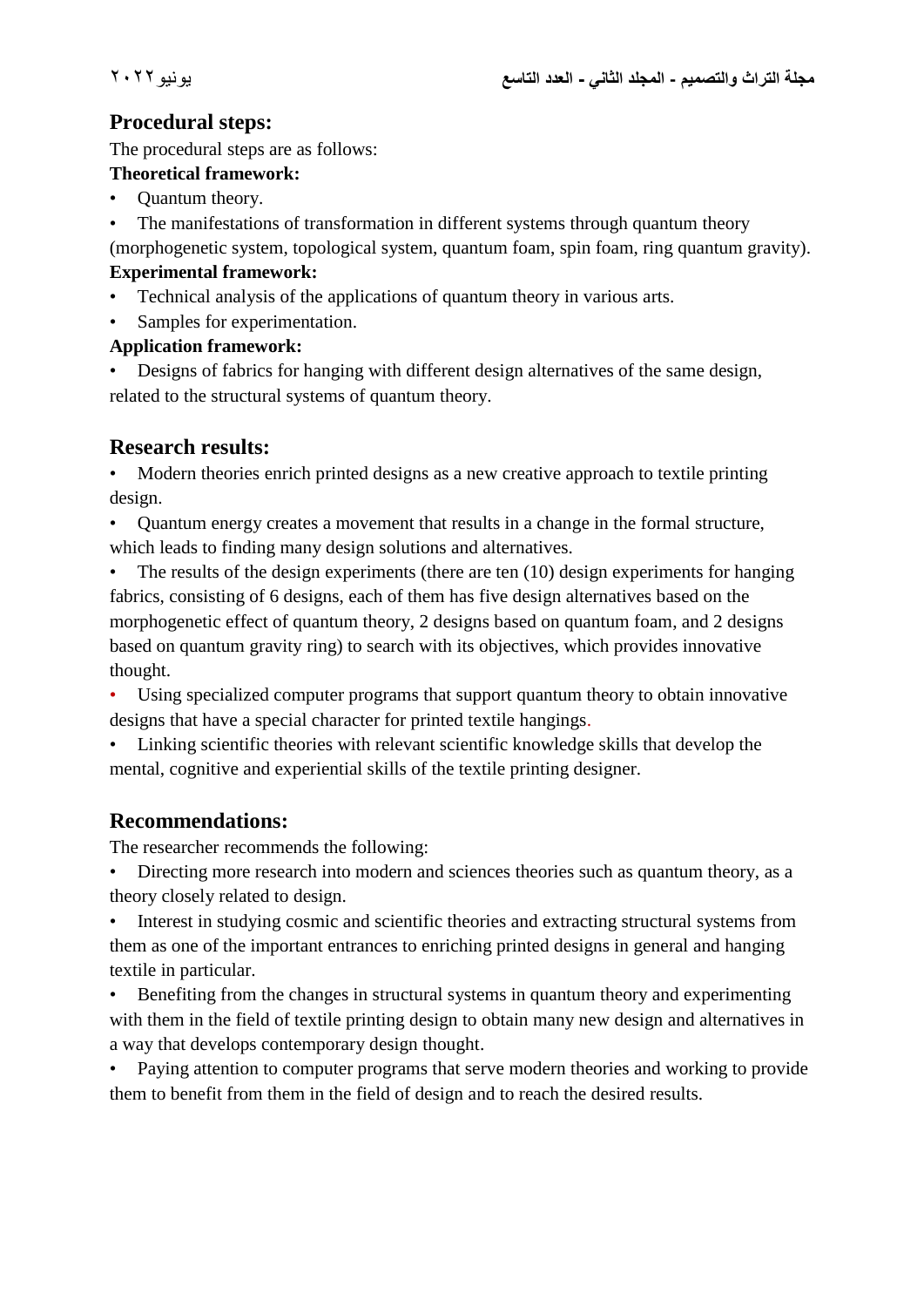# **Procedural steps:**

The procedural steps are as follows:

# **Theoretical framework:**

• Quantum theory.

• The manifestations of transformation in different systems through quantum theory (morphogenetic system, topological system, quantum foam, spin foam, ring quantum gravity).

# **Experimental framework:**

- Technical analysis of the applications of quantum theory in various arts.
- Samples for experimentation.

# **Application framework:**

• Designs of fabrics for hanging with different design alternatives of the same design, related to the structural systems of quantum theory.

# **Research results:**

• Modern theories enrich printed designs as a new creative approach to textile printing design.

• Quantum energy creates a movement that results in a change in the formal structure, which leads to finding many design solutions and alternatives.

The results of the design experiments (there are ten (10) design experiments for hanging fabrics, consisting of 6 designs, each of them has five design alternatives based on the morphogenetic effect of quantum theory, 2 designs based on quantum foam, and 2 designs based on quantum gravity ring) to search with its objectives, which provides innovative thought.

• Using specialized computer programs that support quantum theory to obtain innovative designs that have a special character for printed textile hangings.

Linking scientific theories with relevant scientific knowledge skills that develop the mental, cognitive and experiential skills of the textile printing designer.

# **Recommendations:**

The researcher recommends the following:

• Directing more research into modern and sciences theories such as quantum theory, as a theory closely related to design.

• Interest in studying cosmic and scientific theories and extracting structural systems from them as one of the important entrances to enriching printed designs in general and hanging textile in particular.

• Benefiting from the changes in structural systems in quantum theory and experimenting with them in the field of textile printing design to obtain many new design and alternatives in a way that develops contemporary design thought.

• Paying attention to computer programs that serve modern theories and working to provide them to benefit from them in the field of design and to reach the desired results.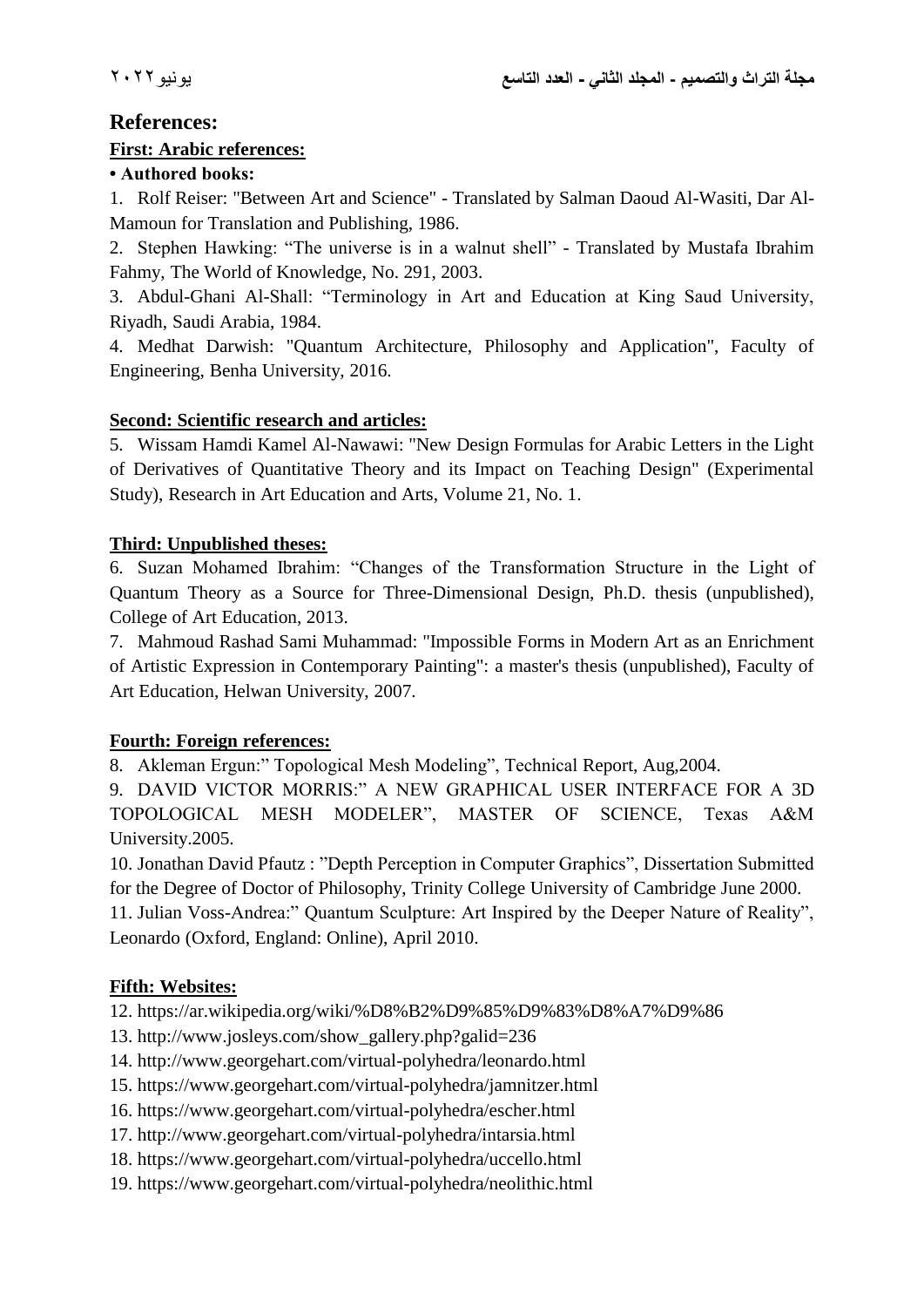# **References:**

#### **First: Arabic references:**

#### **• Authored books:**

1. Rolf Reiser: "Between Art and Science" - Translated by Salman Daoud Al-Wasiti, Dar Al-Mamoun for Translation and Publishing, 1986.

2. Stephen Hawking: "The universe is in a walnut shell" - Translated by Mustafa Ibrahim Fahmy, The World of Knowledge, No. 291, 2003.

3. Abdul-Ghani Al-Shall: "Terminology in Art and Education at King Saud University, Riyadh, Saudi Arabia, 1984.

4. Medhat Darwish: "Quantum Architecture, Philosophy and Application", Faculty of Engineering, Benha University, 2016.

#### **Second: Scientific research and articles:**

5. Wissam Hamdi Kamel Al-Nawawi: "New Design Formulas for Arabic Letters in the Light of Derivatives of Quantitative Theory and its Impact on Teaching Design" (Experimental Study), Research in Art Education and Arts, Volume 21, No. 1.

#### **Third: Unpublished theses:**

6. Suzan Mohamed Ibrahim: "Changes of the Transformation Structure in the Light of Quantum Theory as a Source for Three-Dimensional Design, Ph.D. thesis (unpublished), College of Art Education, 2013.

7. Mahmoud Rashad Sami Muhammad: "Impossible Forms in Modern Art as an Enrichment of Artistic Expression in Contemporary Painting": a master's thesis (unpublished), Faculty of Art Education, Helwan University, 2007.

# **Fourth: Foreign references:**

8. Akleman Ergun:" Topological Mesh Modeling", Technical Report, Aug,2004.

9. DAVID VICTOR MORRIS:" A NEW GRAPHICAL USER INTERFACE FOR A 3D TOPOLOGICAL MESH MODELER", MASTER OF SCIENCE, Texas A&M University.2005.

10. Jonathan David Pfautz : "Depth Perception in Computer Graphics", Dissertation Submitted for the Degree of Doctor of Philosophy, Trinity College University of Cambridge June 2000.

11. Julian Voss-Andrea:" Quantum Sculpture: Art Inspired by the Deeper Nature of Reality", Leonardo (Oxford, England: Online), April 2010.

# **Fifth: Websites:**

12. https://ar.wikipedia.org/wiki/%D8%B2%D9%85%D9%83%D8%A7%D9%86

- 13. http://www.josleys.com/show\_gallery.php?galid=236
- 14. http://www.georgehart.com/virtual-polyhedra/leonardo.html
- 15. https://www.georgehart.com/virtual-polyhedra/jamnitzer.html
- 16. https://www.georgehart.com/virtual-polyhedra/escher.html
- 17. http://www.georgehart.com/virtual-polyhedra/intarsia.html
- 18. https://www.georgehart.com/virtual-polyhedra/uccello.html
- 19. https://www.georgehart.com/virtual-polyhedra/neolithic.html